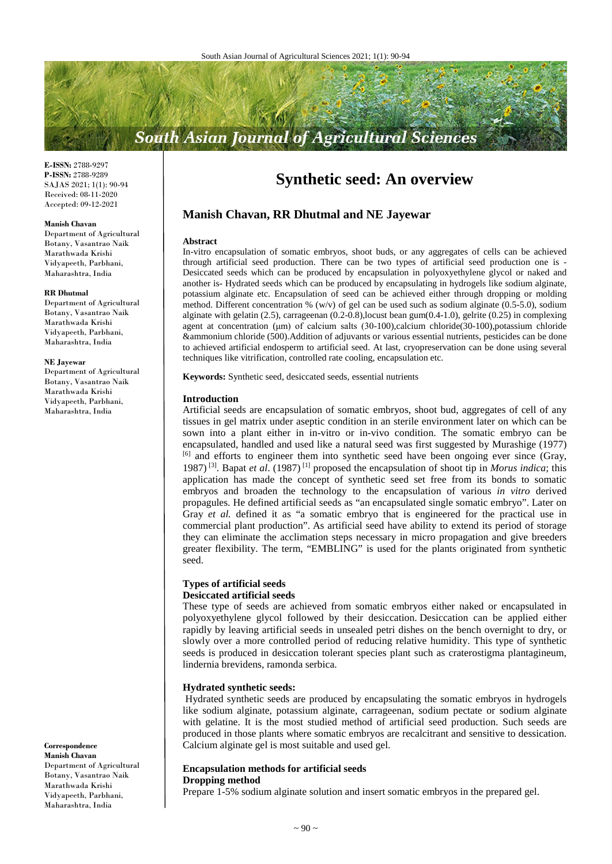# **South Asian Journal of Agricultural Sciences**

**E-ISSN:** 2788-9297 **P-ISSN:** 2788-9289 SAJAS 2021; 1(1): 90-94 Received: 08-11-2020 Accepted: 09-12-2021

#### **Manish Chavan**

Department of Agricultural Botany, Vasantrao Naik Marathwada Krishi Vidyapeeth, Parbhani, Maharashtra, India

#### **RR Dhutmal**

Department of Agricultural Botany, Vasantrao Naik Marathwada Krishi Vidyapeeth, Parbhani, Maharashtra, India

#### **NE Jayewar**

Department of Agricultural Botany, Vasantrao Naik Marathwada Krishi Vidyapeeth, Parbhani, Maharashtra, India

**Correspondence Manish Chavan** Department of Agricultural Botany, Vasantrao Naik Marathwada Krishi Vidyapeeth, Parbhani, Maharashtra, India

### **Synthetic seed: An overview**

#### **Manish Chavan, RR Dhutmal and NE Jayewar**

#### **Abstract**

In-vitro encapsulation of somatic embryos, shoot buds, or any aggregates of cells can be achieved through artificial seed production. There can be two types of artificial seed production one is - Desiccated seeds which can be produced by encapsulation in polyoxyethylene glycol or naked and another is- Hydrated seeds which can be produced by encapsulating in hydrogels like sodium alginate, potassium alginate etc. Encapsulation of seed can be achieved either through dropping or molding method. Different concentration  $\%$  (w/v) of gel can be used such as sodium alginate (0.5-5.0), sodium alginate with gelatin (2.5), carrageenan (0.2-0.8),locust bean gum(0.4-1.0), gelrite (0.25) in complexing agent at concentration (μm) of calcium salts (30-100),calcium chloride(30-100),potassium chloride &ammonium chloride (500).Addition of adjuvants or various essential nutrients, pesticides can be done to achieved artificial endosperm to artificial seed. At last, cryopreservation can be done using several techniques like vitrification, controlled rate cooling, encapsulation etc.

**Keywords:** Synthetic seed, desiccated seeds, essential nutrients

#### **Introduction**

Artificial seeds are encapsulation of somatic embryos, shoot bud, aggregates of cell of any tissues in gel matrix under aseptic condition in an sterile environment later on which can be sown into a plant either in in-vitro or in-vivo condition. The somatic embryo can be encapsulated, handled and used like a natural seed was first suggested by Murashige (1977)  $[6]$  and efforts to engineer them into synthetic seed have been ongoing ever since (Gray, 1987) [3] . Bapat *et al*. (1987) [1] proposed the encapsulation of shoot tip in *Morus indica*; this application has made the concept of synthetic seed set free from its bonds to somatic embryos and broaden the technology to the encapsulation of various *in vitro* derived propagules. He defined artificial seeds as "an encapsulated single somatic embryo". Later on Gray *et al.* defined it as "a somatic embryo that is engineered for the practical use in commercial plant production". As artificial seed have ability to extend its period of storage they can eliminate the acclimation steps necessary in micro propagation and give breeders greater flexibility. The term, "EMBLING" is used for the plants originated from synthetic seed.

### **Types of artificial seeds**

# **Desiccated artificial seeds**

These type of seeds are achieved from somatic embryos either naked or encapsulated in polyoxyethylene glycol followed by their desiccation. Desiccation can be applied either rapidly by leaving artificial seeds in unsealed petri dishes on the bench overnight to dry, or slowly over a more controlled period of reducing relative humidity. This type of synthetic seeds is produced in desiccation tolerant species plant such as craterostigma plantagineum, lindernia brevidens, ramonda serbica.

#### **Hydrated synthetic seeds:**

Hydrated synthetic seeds are produced by encapsulating the somatic embryos in hydrogels like sodium alginate, potassium alginate, carrageenan, sodium pectate or sodium alginate with gelatine. It is the most studied method of artificial seed production. Such seeds are produced in those plants where somatic embryos are recalcitrant and sensitive to dessication. Calcium alginate gel is most suitable and used gel.

#### **Encapsulation methods for artificial seeds Dropping method**

Prepare 1-5% sodium alginate solution and insert somatic embryos in the prepared gel.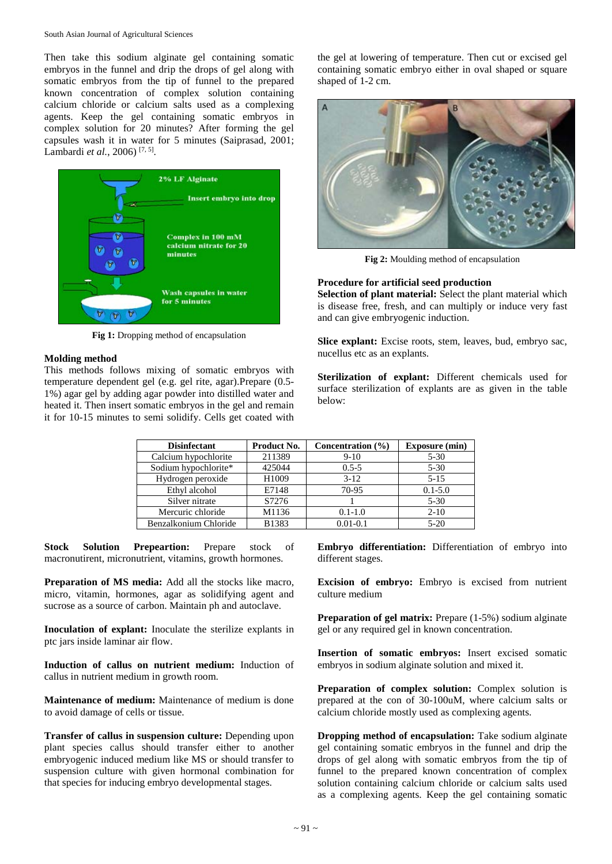Then take this sodium alginate gel containing somatic embryos in the funnel and drip the drops of gel along with somatic embryos from the tip of funnel to the prepared known concentration of complex solution containing calcium chloride or calcium salts used as a complexing agents. Keep the gel containing somatic embryos in complex solution for 20 minutes? After forming the gel capsules wash it in water for 5 minutes (Saiprasad, 2001; Lambardi *et al.*, 2006) [7, 5] .



Fig 1: Dropping method of encapsulation

#### **Molding method**

This methods follows mixing of somatic embryos with temperature dependent gel (e.g. gel rite, agar).Prepare (0.5- 1%) agar gel by adding agar powder into distilled water and heated it. Then insert somatic embryos in the gel and remain it for 10-15 minutes to semi solidify. Cells get coated with the gel at lowering of temperature. Then cut or excised gel containing somatic embryo either in oval shaped or square shaped of 1-2 cm.



**Fig 2:** Moulding method of encapsulation

#### **Procedure for artificial seed production**

**Selection of plant material:** Select the plant material which is disease free, fresh, and can multiply or induce very fast and can give embryogenic induction.

**Slice explant:** Excise roots, stem, leaves, bud, embryo sac, nucellus etc as an explants.

**Sterilization of explant:** Different chemicals used for surface sterilization of explants are as given in the table below:

| <b>Disinfectant</b>   | Product No. | Concentration $(\% )$ | <b>Exposure (min)</b> |
|-----------------------|-------------|-----------------------|-----------------------|
| Calcium hypochlorite  | 211389      | $9-10$                | $5 - 30$              |
| Sodium hypochlorite*  | 425044      | $0.5 - 5$             | $5 - 30$              |
| Hydrogen peroxide     | H1009       | $3 - 12$              | $5 - 15$              |
| Ethyl alcohol         | E7148       | 70-95                 | $0.1 - 5.0$           |
| Silver nitrate        | S7276       |                       | $5 - 30$              |
| Mercuric chloride     | M1136       | $0.1 - 1.0$           | $2 - 10$              |
| Benzalkonium Chloride | B1383       | $0.01 - 0.1$          | $5 - 20$              |

**Stock Solution Prepeartion:** Prepare stock of macronutirent, micronutrient, vitamins, growth hormones.

**Preparation of MS media:** Add all the stocks like macro, micro, vitamin, hormones, agar as solidifying agent and sucrose as a source of carbon. Maintain ph and autoclave.

**Inoculation of explant:** Inoculate the sterilize explants in ptc jars inside laminar air flow.

**Induction of callus on nutrient medium:** Induction of callus in nutrient medium in growth room.

**Maintenance of medium:** Maintenance of medium is done to avoid damage of cells or tissue.

**Transfer of callus in suspension culture:** Depending upon plant species callus should transfer either to another embryogenic induced medium like MS or should transfer to suspension culture with given hormonal combination for that species for inducing embryo developmental stages.

**Embryo differentiation:** Differentiation of embryo into different stages.

**Excision of embryo:** Embryo is excised from nutrient culture medium

**Preparation of gel matrix:** Prepare (1-5%) sodium alginate gel or any required gel in known concentration.

**Insertion of somatic embryos:** Insert excised somatic embryos in sodium alginate solution and mixed it.

**Preparation of complex solution:** Complex solution is prepared at the con of 30-100uM, where calcium salts or calcium chloride mostly used as complexing agents.

**Dropping method of encapsulation:** Take sodium alginate gel containing somatic embryos in the funnel and drip the drops of gel along with somatic embryos from the tip of funnel to the prepared known concentration of complex solution containing calcium chloride or calcium salts used as a complexing agents. Keep the gel containing somatic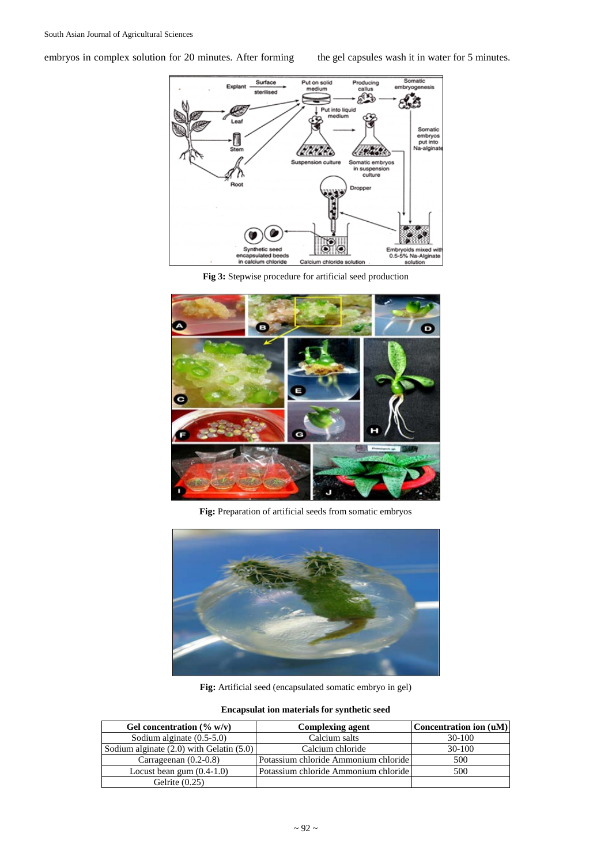embryos in complex solution for 20 minutes. After forming the gel capsules wash it in water for 5 minutes.



**Fig 3:** Stepwise procedure for artificial seed production



**Fig:** Preparation of artificial seeds from somatic embryos



**Fig:** Artificial seed (encapsulated somatic embryo in gel)

#### **Encapsulat ion materials for synthetic seed**

| Gel concentration $(\% w/v)$                 | <b>Complexing agent</b>              | Concentration ion (uM) |
|----------------------------------------------|--------------------------------------|------------------------|
| Sodium alginate (0.5-5.0)                    | Calcium salts                        | $30-100$               |
| Sodium alginate $(2.0)$ with Gelatin $(5.0)$ | Calcium chloride                     | $30-100$               |
| Carrageenan $(0.2-0.8)$                      | Potassium chloride Ammonium chloride | 500                    |
| Locust bean gum $(0.4-1.0)$                  | Potassium chloride Ammonium chloride | 500                    |
| Gelrite $(0.25)$                             |                                      |                        |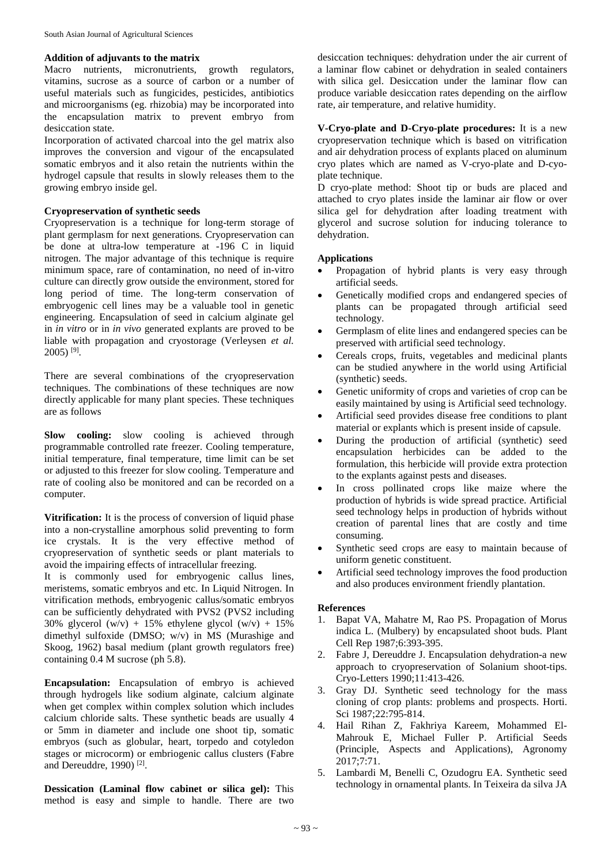#### **Addition of adjuvants to the matrix**

Macro nutrients, micronutrients, growth regulators, vitamins, sucrose as a source of carbon or a number of useful materials such as fungicides, pesticides, antibiotics and microorganisms (eg. rhizobia) may be incorporated into the encapsulation matrix to prevent embryo from desiccation state.

Incorporation of activated charcoal into the gel matrix also improves the conversion and vigour of the encapsulated somatic embryos and it also retain the nutrients within the hydrogel capsule that results in slowly releases them to the growing embryo inside gel.

#### **Cryopreservation of synthetic seeds**

Cryopreservation is a technique for long-term storage of plant germplasm for next generations. Cryopreservation can be done at ultra-low temperature at -196 C in liquid nitrogen. The major advantage of this technique is require minimum space, rare of contamination, no need of in-vitro culture can directly grow outside the environment, stored for long period of time. The long-term conservation of embryogenic cell lines may be a valuable tool in genetic engineering. Encapsulation of seed in calcium alginate gel in *in vitro* or in *in vivo* generated explants are proved to be liable with propagation and cryostorage (Verleysen *et al.* 2005) [9] .

There are several combinations of the cryopreservation techniques. The combinations of these techniques are now directly applicable for many plant species. These techniques are as follows

**Slow cooling:** slow cooling is achieved through programmable controlled rate freezer. Cooling temperature, initial temperature, final temperature, time limit can be set or adjusted to this freezer for slow cooling. Temperature and rate of cooling also be monitored and can be recorded on a computer.

**Vitrification:** It is the process of conversion of liquid phase into a non-crystalline amorphous solid preventing to form ice crystals. It is the very effective method of cryopreservation of synthetic seeds or plant materials to avoid the impairing effects of intracellular freezing.

It is commonly used for embryogenic callus lines, meristems, somatic embryos and etc. In Liquid Nitrogen. In vitrification methods, embryogenic callus/somatic embryos can be sufficiently dehydrated with PVS2 (PVS2 including 30% glycerol  $(w/v)$  + 15% ethylene glycol  $(w/v)$  + 15% dimethyl sulfoxide (DMSO; w/v) in MS (Murashige and Skoog, 1962) basal medium (plant growth regulators free) containing 0.4 M sucrose (ph 5.8).

**Encapsulation:** Encapsulation of embryo is achieved through hydrogels like sodium alginate, calcium alginate when get complex within complex solution which includes calcium chloride salts. These synthetic beads are usually 4 or 5mm in diameter and include one shoot tip, somatic embryos (such as globular, heart, torpedo and cotyledon stages or microcorm) or embriogenic callus clusters (Fabre and Dereuddre, 1990)<sup>[2]</sup>.

**Dessication (Laminal flow cabinet or silica gel):** This method is easy and simple to handle. There are two

desiccation techniques: dehydration under the air current of a laminar flow cabinet or dehydration in sealed containers with silica gel. Desiccation under the laminar flow can produce variable desiccation rates depending on the airflow rate, air temperature, and relative humidity.

**V-Cryo-plate and D-Cryo-plate procedures:** It is a new cryopreservation technique which is based on vitrification and air dehydration process of explants placed on aluminum cryo plates which are named as V-cryo-plate and D-cyoplate technique.

D cryo-plate method: Shoot tip or buds are placed and attached to cryo plates inside the laminar air flow or over silica gel for dehydration after loading treatment with glycerol and sucrose solution for inducing tolerance to dehydration.

#### **Applications**

- Propagation of hybrid plants is very easy through artificial seeds.
- Genetically modified crops and endangered species of plants can be propagated through artificial seed technology.
- Germplasm of elite lines and endangered species can be preserved with artificial seed technology.
- Cereals crops, fruits, vegetables and medicinal plants can be studied anywhere in the world using Artificial (synthetic) seeds.
- Genetic uniformity of crops and varieties of crop can be easily maintained by using is Artificial seed technology.
- Artificial seed provides disease free conditions to plant material or explants which is present inside of capsule.
- During the production of artificial (synthetic) seed encapsulation herbicides can be added to the formulation, this herbicide will provide extra protection to the explants against pests and diseases.
- In cross pollinated crops like maize where the production of hybrids is wide spread practice. Artificial seed technology helps in production of hybrids without creation of parental lines that are costly and time consuming.
- Synthetic seed crops are easy to maintain because of uniform genetic constituent.
- Artificial seed technology improves the food production and also produces environment friendly plantation.

#### **References**

- 1. Bapat VA, Mahatre M, Rao PS. Propagation of Morus indica L. (Mulbery) by encapsulated shoot buds. Plant Cell Rep 1987;6:393-395.
- 2. Fabre J, Dereuddre J. Encapsulation dehydration-a new approach to cryopreservation of Solanium shoot-tips. Cryo-Letters 1990;11:413-426.
- 3. Gray DJ. Synthetic seed technology for the mass cloning of crop plants: problems and prospects. Horti. Sci 1987;22:795-814.
- 4. Hail Rihan Z, Fakhriya Kareem, Mohammed El-Mahrouk E, Michael Fuller P. Artificial Seeds (Principle, Aspects and Applications), Agronomy 2017;7:71.
- 5. Lambardi M, Benelli C, Ozudogru EA. Synthetic seed technology in ornamental plants. In Teixeira da silva JA